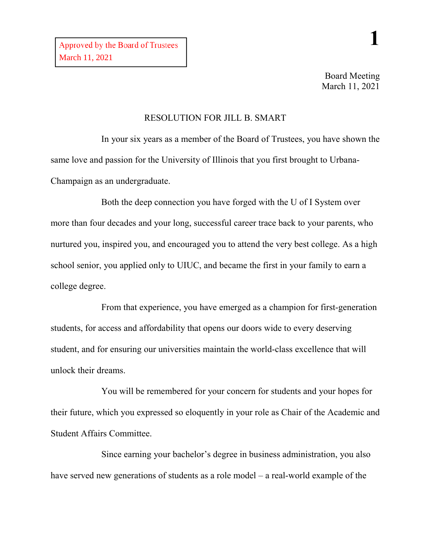## RESOLUTION FOR JILL B. SMART

In your six years as a member of the Board of Trustees, you have shown the same love and passion for the University of Illinois that you first brought to Urbana-Champaign as an undergraduate.

Both the deep connection you have forged with the U of I System over more than four decades and your long, successful career trace back to your parents, who nurtured you, inspired you, and encouraged you to attend the very best college. As a high school senior, you applied only to UIUC, and became the first in your family to earn a college degree.

From that experience, you have emerged as a champion for first-generation students, for access and affordability that opens our doors wide to every deserving student, and for ensuring our universities maintain the world-class excellence that will unlock their dreams.

You will be remembered for your concern for students and your hopes for their future, which you expressed so eloquently in your role as Chair of the Academic and Student Affairs Committee.

Since earning your bachelor's degree in business administration, you also have served new generations of students as a role model – a real-world example of the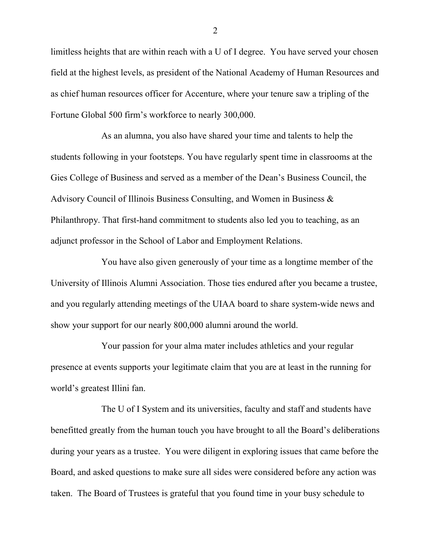limitless heights that are within reach with a U of I degree. You have served your chosen field at the highest levels, as president of the National Academy of Human Resources and as chief human resources officer for Accenture, where your tenure saw a tripling of the Fortune Global 500 firm's workforce to nearly 300,000.

As an alumna, you also have shared your time and talents to help the students following in your footsteps. You have regularly spent time in classrooms at the Gies College of Business and served as a member of the Dean's Business Council, the Advisory Council of Illinois Business Consulting, and Women in Business & Philanthropy. That first-hand commitment to students also led you to teaching, as an adjunct professor in the School of Labor and Employment Relations.

You have also given generously of your time as a longtime member of the University of Illinois Alumni Association. Those ties endured after you became a trustee, and you regularly attending meetings of the UIAA board to share system-wide news and show your support for our nearly 800,000 alumni around the world.

Your passion for your alma mater includes athletics and your regular presence at events supports your legitimate claim that you are at least in the running for world's greatest Illini fan.

The U of I System and its universities, faculty and staff and students have benefitted greatly from the human touch you have brought to all the Board's deliberations during your years as a trustee. You were diligent in exploring issues that came before the Board, and asked questions to make sure all sides were considered before any action was taken. The Board of Trustees is grateful that you found time in your busy schedule to

2